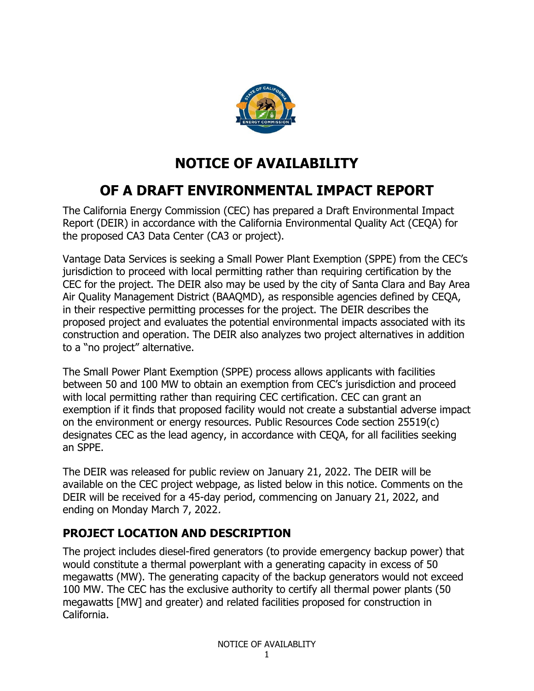

# **NOTICE OF AVAILABILITY**

## **OF A DRAFT ENVIRONMENTAL IMPACT REPORT**

The California Energy Commission (CEC) has prepared a Draft Environmental Impact Report (DEIR) in accordance with the California Environmental Quality Act (CEQA) for the proposed CA3 Data Center (CA3 or project).

Vantage Data Services is seeking a Small Power Plant Exemption (SPPE) from the CEC's jurisdiction to proceed with local permitting rather than requiring certification by the CEC for the project. The DEIR also may be used by the city of Santa Clara and Bay Area Air Quality Management District (BAAQMD), as responsible agencies defined by CEQA, in their respective permitting processes for the project. The DEIR describes the proposed project and evaluates the potential environmental impacts associated with its construction and operation. The DEIR also analyzes two project alternatives in addition to a "no project" alternative.

The Small Power Plant Exemption (SPPE) process allows applicants with facilities between 50 and 100 MW to obtain an exemption from CEC's jurisdiction and proceed with local permitting rather than requiring CEC certification. CEC can grant an exemption if it finds that proposed facility would not create a substantial adverse impact on the environment or energy resources. Public Resources Code section 25519(c) designates CEC as the lead agency, in accordance with CEQA, for all facilities seeking an SPPE.

The DEIR was released for public review on January 21, 2022. The DEIR will be available on the CEC project webpage, as listed below in this notice. Comments on the DEIR will be received for a 45-day period, commencing on January 21, 2022, and ending on Monday March 7, 2022.

### **PROJECT LOCATION AND DESCRIPTION**

The project includes diesel-fired generators (to provide emergency backup power) that would constitute a thermal powerplant with a generating capacity in excess of 50 megawatts (MW). The generating capacity of the backup generators would not exceed 100 MW. The CEC has the exclusive authority to certify all thermal power plants (50 megawatts [MW] and greater) and related facilities proposed for construction in California.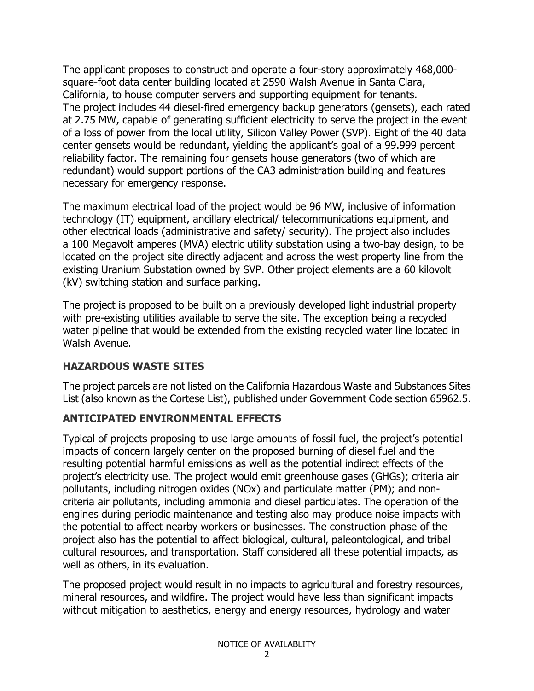The applicant proposes to construct and operate a four-story approximately 468,000 square-foot data center building located at 2590 Walsh Avenue in Santa Clara, California, to house computer servers and supporting equipment for tenants. The project includes 44 diesel-fired emergency backup generators (gensets), each rated at 2.75 MW, capable of generating sufficient electricity to serve the project in the event of a loss of power from the local utility, Silicon Valley Power (SVP). Eight of the 40 data center gensets would be redundant, yielding the applicant's goal of a 99.999 percent reliability factor. The remaining four gensets house generators (two of which are redundant) would support portions of the CA3 administration building and features necessary for emergency response.

The maximum electrical load of the project would be 96 MW, inclusive of information technology (IT) equipment, ancillary electrical/ telecommunications equipment, and other electrical loads (administrative and safety/ security). The project also includes a 100 Megavolt amperes (MVA) electric utility substation using a two-bay design, to be located on the project site directly adjacent and across the west property line from the existing Uranium Substation owned by SVP. Other project elements are a 60 kilovolt (kV) switching station and surface parking.

The project is proposed to be built on a previously developed light industrial property with pre-existing utilities available to serve the site. The exception being a recycled water pipeline that would be extended from the existing recycled water line located in Walsh Avenue.

### **HAZARDOUS WASTE SITES**

The project parcels are not listed on the California Hazardous Waste and Substances Sites List (also known as the Cortese List), published under Government Code section 65962.5.

### **ANTICIPATED ENVIRONMENTAL EFFECTS**

Typical of projects proposing to use large amounts of fossil fuel, the project's potential impacts of concern largely center on the proposed burning of diesel fuel and the resulting potential harmful emissions as well as the potential indirect effects of the project's electricity use. The project would emit greenhouse gases (GHGs); criteria air pollutants, including nitrogen oxides (NOx) and particulate matter (PM); and noncriteria air pollutants, including ammonia and diesel particulates. The operation of the engines during periodic maintenance and testing also may produce noise impacts with the potential to affect nearby workers or businesses. The construction phase of the project also has the potential to affect biological, cultural, paleontological, and tribal cultural resources, and transportation. Staff considered all these potential impacts, as well as others, in its evaluation.

The proposed project would result in no impacts to agricultural and forestry resources, mineral resources, and wildfire. The project would have less than significant impacts without mitigation to aesthetics, energy and energy resources, hydrology and water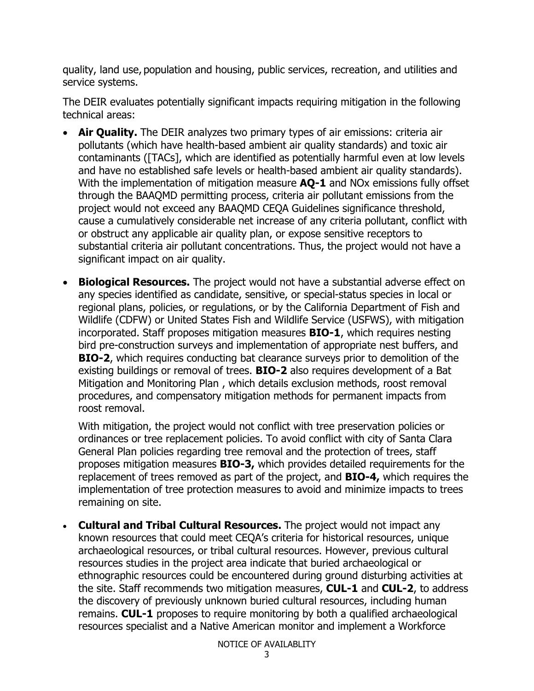quality, land use, population and housing, public services, recreation, and utilities and service systems.

The DEIR evaluates potentially significant impacts requiring mitigation in the following technical areas:

- **Air Quality.** The DEIR analyzes two primary types of air emissions: criteria air pollutants (which have health-based ambient air quality standards) and toxic air contaminants ([TACs], which are identified as potentially harmful even at low levels and have no established safe levels or health-based ambient air quality standards). With the implementation of mitigation measure **AQ-1** and NOx emissions fully offset through the BAAQMD permitting process, criteria air pollutant emissions from the project would not exceed any BAAQMD CEQA Guidelines significance threshold, cause a cumulatively considerable net increase of any criteria pollutant, conflict with or obstruct any applicable air quality plan, or expose sensitive receptors to substantial criteria air pollutant concentrations. Thus, the project would not have a significant impact on air quality.
- **Biological Resources.** The project would not have a substantial adverse effect on any species identified as candidate, sensitive, or special-status species in local or regional plans, policies, or regulations, or by the California Department of Fish and Wildlife (CDFW) or United States Fish and Wildlife Service (USFWS), with mitigation incorporated. Staff proposes mitigation measures **BIO-1**, which requires nesting bird pre-construction surveys and implementation of appropriate nest buffers, and **BIO-2**, which requires conducting bat clearance surveys prior to demolition of the existing buildings or removal of trees. **BIO-2** also requires development of a Bat Mitigation and Monitoring Plan , which details exclusion methods, roost removal procedures, and compensatory mitigation methods for permanent impacts from roost removal.

With mitigation, the project would not conflict with tree preservation policies or ordinances or tree replacement policies. To avoid conflict with city of Santa Clara General Plan policies regarding tree removal and the protection of trees, staff proposes mitigation measures **BIO-3,** which provides detailed requirements for the replacement of trees removed as part of the project, and **BIO-4,** which requires the implementation of tree protection measures to avoid and minimize impacts to trees remaining on site.

• **Cultural and Tribal Cultural Resources.** The project would not impact any known resources that could meet CEQA's criteria for historical resources, unique archaeological resources, or tribal cultural resources. However, previous cultural resources studies in the project area indicate that buried archaeological or ethnographic resources could be encountered during ground disturbing activities at the site. Staff recommends two mitigation measures, **CUL-1** and **CUL-2**, to address the discovery of previously unknown buried cultural resources, including human remains. **CUL-1** proposes to require monitoring by both a qualified archaeological resources specialist and a Native American monitor and implement a Workforce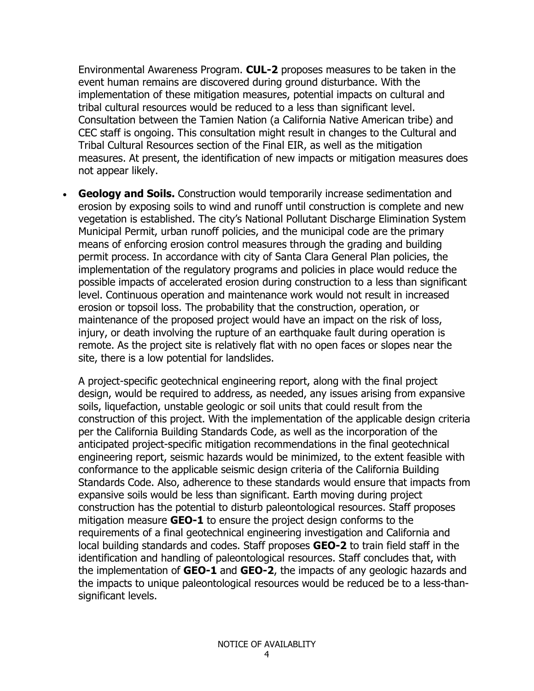Environmental Awareness Program. **CUL-2** proposes measures to be taken in the event human remains are discovered during ground disturbance. With the implementation of these mitigation measures, potential impacts on cultural and tribal cultural resources would be reduced to a less than significant level. Consultation between the Tamien Nation (a California Native American tribe) and CEC staff is ongoing. This consultation might result in changes to the Cultural and Tribal Cultural Resources section of the Final EIR, as well as the mitigation measures. At present, the identification of new impacts or mitigation measures does not appear likely.

• **Geology and Soils.** Construction would temporarily increase sedimentation and erosion by exposing soils to wind and runoff until construction is complete and new vegetation is established. The city's National Pollutant Discharge Elimination System Municipal Permit, urban runoff policies, and the municipal code are the primary means of enforcing erosion control measures through the grading and building permit process. In accordance with city of Santa Clara General Plan policies, the implementation of the regulatory programs and policies in place would reduce the possible impacts of accelerated erosion during construction to a less than significant level. Continuous operation and maintenance work would not result in increased erosion or topsoil loss. The probability that the construction, operation, or maintenance of the proposed project would have an impact on the risk of loss, injury, or death involving the rupture of an earthquake fault during operation is remote. As the project site is relatively flat with no open faces or slopes near the site, there is a low potential for landslides.

A project-specific geotechnical engineering report, along with the final project design, would be required to address, as needed, any issues arising from expansive soils, liquefaction, unstable geologic or soil units that could result from the construction of this project. With the implementation of the applicable design criteria per the California Building Standards Code, as well as the incorporation of the anticipated project-specific mitigation recommendations in the final geotechnical engineering report, seismic hazards would be minimized, to the extent feasible with conformance to the applicable seismic design criteria of the California Building Standards Code. Also, adherence to these standards would ensure that impacts from expansive soils would be less than significant. Earth moving during project construction has the potential to disturb paleontological resources. Staff proposes mitigation measure **GEO-1** to ensure the project design conforms to the requirements of a final geotechnical engineering investigation and California and local building standards and codes. Staff proposes **GEO-2** to train field staff in the identification and handling of paleontological resources. Staff concludes that, with the implementation of **GEO-1** and **GEO-2**, the impacts of any geologic hazards and the impacts to unique paleontological resources would be reduced be to a less-thansignificant levels.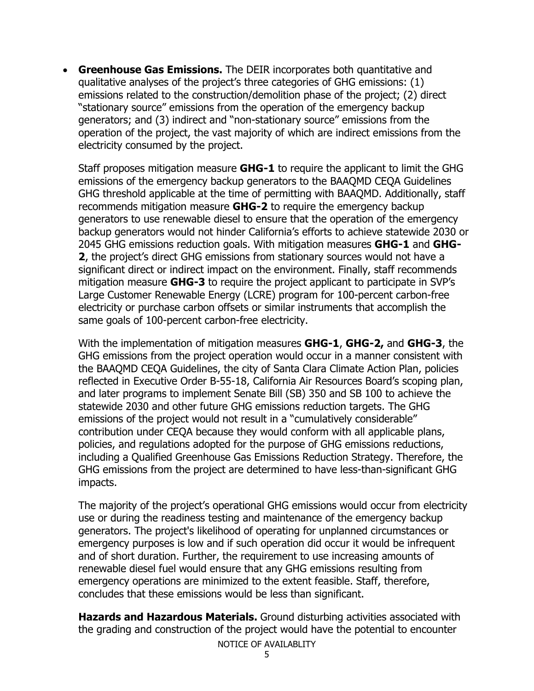• **Greenhouse Gas Emissions.** The DEIR incorporates both quantitative and qualitative analyses of the project's three categories of GHG emissions: (1) emissions related to the construction/demolition phase of the project; (2) direct "stationary source" emissions from the operation of the emergency backup generators; and (3) indirect and "non-stationary source" emissions from the operation of the project, the vast majority of which are indirect emissions from the electricity consumed by the project.

Staff proposes mitigation measure **GHG-1** to require the applicant to limit the GHG emissions of the emergency backup generators to the BAAQMD CEQA Guidelines GHG threshold applicable at the time of permitting with BAAQMD. Additionally, staff recommends mitigation measure **GHG-2** to require the emergency backup generators to use renewable diesel to ensure that the operation of the emergency backup generators would not hinder California's efforts to achieve statewide 2030 or 2045 GHG emissions reduction goals. With mitigation measures **GHG-1** and **GHG-2**, the project's direct GHG emissions from stationary sources would not have a significant direct or indirect impact on the environment. Finally, staff recommends mitigation measure **GHG-3** to require the project applicant to participate in SVP's Large Customer Renewable Energy (LCRE) program for 100-percent carbon-free electricity or purchase carbon offsets or similar instruments that accomplish the same goals of 100-percent carbon-free electricity.

With the implementation of mitigation measures **GHG-1**, **GHG-2,** and **GHG-3**, the GHG emissions from the project operation would occur in a manner consistent with the BAAQMD CEQA Guidelines, the city of Santa Clara Climate Action Plan, policies reflected in Executive Order B-55-18, California Air Resources Board's scoping plan, and later programs to implement Senate Bill (SB) 350 and SB 100 to achieve the statewide 2030 and other future GHG emissions reduction targets. The GHG emissions of the project would not result in a "cumulatively considerable" contribution under CEQA because they would conform with all applicable plans, policies, and regulations adopted for the purpose of GHG emissions reductions, including a Qualified Greenhouse Gas Emissions Reduction Strategy. Therefore, the GHG emissions from the project are determined to have less-than-significant GHG impacts.

The majority of the project's operational GHG emissions would occur from electricity use or during the readiness testing and maintenance of the emergency backup generators. The project's likelihood of operating for unplanned circumstances or emergency purposes is low and if such operation did occur it would be infrequent and of short duration. Further, the requirement to use increasing amounts of renewable diesel fuel would ensure that any GHG emissions resulting from emergency operations are minimized to the extent feasible. Staff, therefore, concludes that these emissions would be less than significant.

NOTICE OF AVAILABLITY **Hazards and Hazardous Materials.** Ground disturbing activities associated with the grading and construction of the project would have the potential to encounter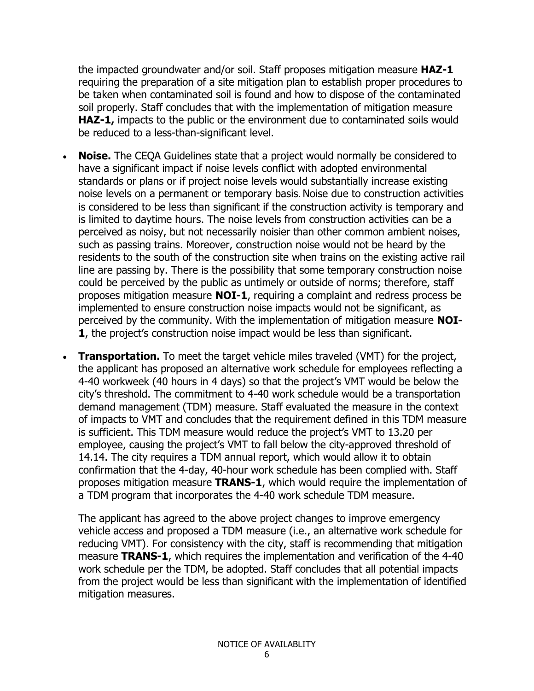the impacted groundwater and/or soil. Staff proposes mitigation measure **HAZ-1** requiring the preparation of a site mitigation plan to establish proper procedures to be taken when contaminated soil is found and how to dispose of the contaminated soil properly. Staff concludes that with the implementation of mitigation measure **HAZ-1,** impacts to the public or the environment due to contaminated soils would be reduced to a less-than-significant level.

- **Noise.** The CEQA Guidelines state that a project would normally be considered to have a significant impact if noise levels conflict with adopted environmental standards or plans or if project noise levels would substantially increase existing noise levels on a permanent or temporary basis. Noise due to construction activities is considered to be less than significant if the construction activity is temporary and is limited to daytime hours. The noise levels from construction activities can be a perceived as noisy, but not necessarily noisier than other common ambient noises, such as passing trains. Moreover, construction noise would not be heard by the residents to the south of the construction site when trains on the existing active rail line are passing by. There is the possibility that some temporary construction noise could be perceived by the public as untimely or outside of norms; therefore, staff proposes mitigation measure **NOI-1**, requiring a complaint and redress process be implemented to ensure construction noise impacts would not be significant, as perceived by the community. With the implementation of mitigation measure **NOI-1**, the project's construction noise impact would be less than significant.
- **Transportation.** To meet the target vehicle miles traveled (VMT) for the project, the applicant has proposed an alternative work schedule for employees reflecting a 4-40 workweek (40 hours in 4 days) so that the project's VMT would be below the city's threshold. The commitment to 4-40 work schedule would be a transportation demand management (TDM) measure. Staff evaluated the measure in the context of impacts to VMT and concludes that the requirement defined in this TDM measure is sufficient. This TDM measure would reduce the project's VMT to 13.20 per employee, causing the project's VMT to fall below the city-approved threshold of 14.14. The city requires a TDM annual report, which would allow it to obtain confirmation that the 4-day, 40-hour work schedule has been complied with. Staff proposes mitigation measure **TRANS-1**, which would require the implementation of a TDM program that incorporates the 4-40 work schedule TDM measure.

The applicant has agreed to the above project changes to improve emergency vehicle access and proposed a TDM measure (i.e., an alternative work schedule for reducing VMT). For consistency with the city, staff is recommending that mitigation measure **TRANS-1**, which requires the implementation and verification of the 4-40 work schedule per the TDM, be adopted. Staff concludes that all potential impacts from the project would be less than significant with the implementation of identified mitigation measures.